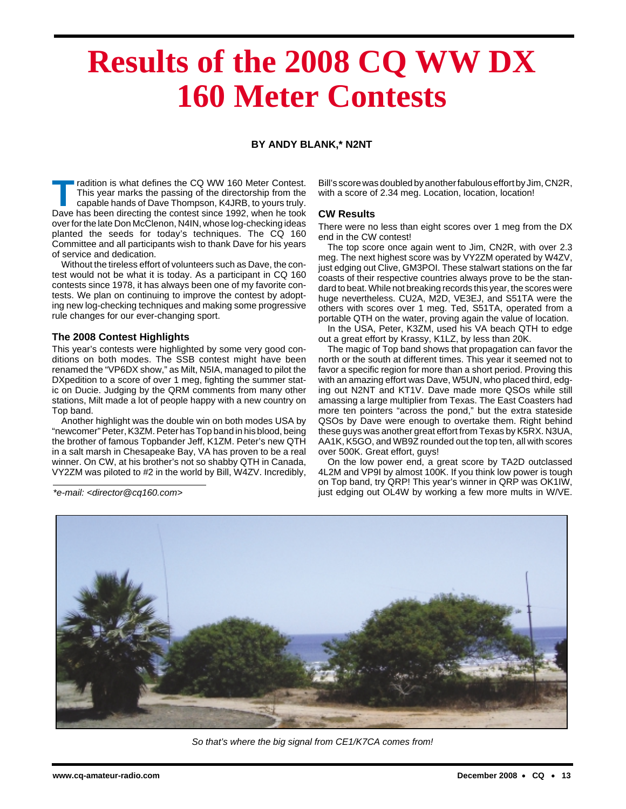# **Results of the 2008 CQ WW DX 160 Meter Contests**

## **BY ANDY BLANK,\* N2NT**

Tradition is what defines the CQ WW 160 Meter Contest.<br>This year marks the passing of the directorship from the capable hands of Dave Thompson, K4JRB, to yours truly. This year marks the passing of the directorship from the capable hands of Dave Thompson, K4JRB, to yours truly. Dave has been directing the contest since 1992, when he took over for the late Don McClenon, N4IN, whose log-checking ideas planted the seeds for today's techniques. The CQ 160 Committee and all participants wish to thank Dave for his years of service and dedication.

Without the tireless effort of volunteers such as Dave, the contest would not be what it is today. As a participant in CQ 160 contests since 1978, it has always been one of my favorite contests. We plan on continuing to improve the contest by adopting new log-checking techniques and making some progressive rule changes for our ever-changing sport.

#### **The 2008 Contest Highlights**

This year's contests were highlighted by some very good conditions on both modes. The SSB contest might have been renamed the "VP6DX show," as Milt, N5IA, managed to pilot the DXpedition to a score of over 1 meg, fighting the summer static on Ducie. Judging by the QRM comments from many other stations, Milt made a lot of people happy with a new country on Top band.

Another highlight was the double win on both modes USA by "newcomer" Peter, K3ZM. Peter has Top band in his blood, being the brother of famous Topbander Jeff, K1ZM. Peter's new QTH in a salt marsh in Chesapeake Bay, VA has proven to be a real winner. On CW, at his brother's not so shabby QTH in Canada, VY2ZM was piloted to #2 in the world by Bill, W4ZV. Incredibly,

Bill's score was doubled by another fabulous effort by Jim, CN2R, with a score of 2.34 meg. Location, location, location!

### **CW Results**

There were no less than eight scores over 1 meg from the DX end in the CW contest!

The top score once again went to Jim, CN2R, with over 2.3 meg. The next highest score was by VY2ZM operated by W4ZV, just edging out Clive, GM3POI. These stalwart stations on the far coasts of their respective countries always prove to be the standard to beat. While not breaking records this year, the scores were huge nevertheless. CU2A, M2D, VE3EJ, and S51TA were the others with scores over 1 meg. Ted, S51TA, operated from a portable QTH on the water, proving again the value of location.

In the USA, Peter, K3ZM, used his VA beach QTH to edge out a great effort by Krassy, K1LZ, by less than 20K.

The magic of Top band shows that propagation can favor the north or the south at different times. This year it seemed not to favor a specific region for more than a short period. Proving this with an amazing effort was Dave, W5UN, who placed third, edging out N2NT and KT1V. Dave made more QSOs while still amassing a large multiplier from Texas. The East Coasters had more ten pointers "across the pond," but the extra stateside QSOs by Dave were enough to overtake them. Right behind these guys was another great effort from Texas by K5RX. N3UA, AA1K, K5GO, and WB9Z rounded out the top ten, all with scores over 500K. Great effort, guys!

On the low power end, a great score by TA2D outclassed 4L2M and VP9I by almost 100K. If you think low power is tough on Top band, try QRP! This year's winner in QRP was OK1IW, \*e-mail: <director@cq160.com> just edging out OL4W by working a few more mults in W/VE.



So that's where the big signal from CE1/K7CA comes from!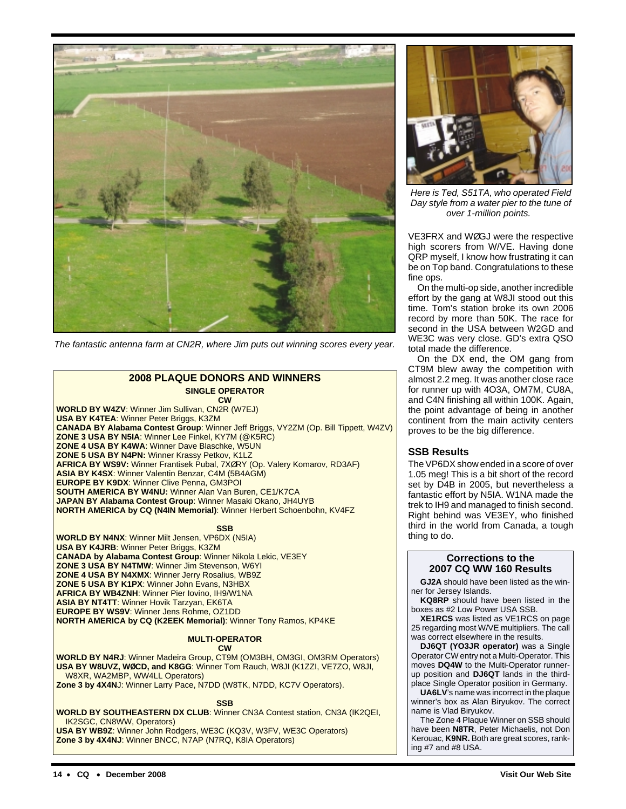

The fantastic antenna farm at CN2R, where Jim puts out winning scores every year.

# **2008 PLAQUE DONORS AND WINNERS SINGLE OPERATOR**

**CW WORLD BY W4ZV**: Winner Jim Sullivan, CN2R (W7EJ) **USA BY K4TEA**: Winner Peter Briggs, K3ZM **CANADA BY Alabama Contest Group**: Winner Jeff Briggs, VY2ZM (Op. Bill Tippett, W4ZV) **ZONE 3 USA BY N5IA**: Winner Lee Finkel, KY7M (@K5RC) **ZONE 4 USA BY K4WA**: Winner Dave Blaschke, W5UN **ZONE 5 USA BY N4PN:** Winner Krassy Petkov, K1LZ **AFRICA BY WS9V:** Winner Frantisek Pubal, 7XØRY (Op. Valery Komarov, RD3AF) **ASIA BY K4SX**: Winner Valentin Benzar, C4M (5B4AGM) **EUROPE BY K9DX**: Winner Clive Penna, GM3POI **SOUTH AMERICA BY W4NU:** Winner Alan Van Buren, CE1/K7CA **JAPAN BY Alabama Contest Group**: Winner Masaki Okano, JH4UYB **NORTH AMERICA by CQ (N4IN Memorial)**: Winner Herbert Schoenbohn, KV4FZ

**SSB**

**WORLD BY N4NX**: Winner Milt Jensen, VP6DX (N5IA) **USA BY K4JRB**: Winner Peter Briggs, K3ZM **CANADA by Alabama Contest Group**: Winner Nikola Lekic, VE3EY **ZONE 3 USA BY N4TMW**: Winner Jim Stevenson, W6YI **ZONE 4 USA BY N4XMX**: Winner Jerry Rosalius, WB9Z **ZONE 5 USA BY K1PX**: Winner John Evans, N3HBX **AFRICA BY WB4ZNH**: Winner Pier Iovino, IH9/W1NA **ASIA BY NT4TT**: Winner Hovik Tarzyan, EK6TA **EUROPE BY WS9V**: Winner Jens Rohme, OZ1DD **NORTH AMERICA by CQ (K2EEK Memorial)**: Winner Tony Ramos, KP4KE

#### **MULTI-OPERATOR CW**

**WORLD BY N4RJ**: Winner Madeira Group, CT9M (OM3BH, OM3GI, OM3RM Operators) **USA BY W8UVZ, WØCD, and K8GG**: Winner Tom Rauch, W8JI (K1ZZI, VE7ZO, W8JI, W8XR, WA2MBP, WW4LL Operators)

**Zone 3 by 4X4N**J: Winner Larry Pace, N7DD (W8TK, N7DD, KC7V Operators).

**SSB**

**WORLD BY SOUTHEASTERN DX CLUB**: Winner CN3A Contest station, CN3A (IK2QEI, IK2SGC, CN8WW, Operators)

**USA BY WB9Z**: Winner John Rodgers, WE3C (KQ3V, W3FV, WE3C Operators) **Zone 3 by 4X4NJ**: Winner BNCC, N7AP (N7RQ, K8IA Operators)



Here is Ted, S51TA, who operated Field Day style from a water pier to the tune of over 1-million points.

VE3FRX and WØGJ were the respective high scorers from W/VE. Having done QRP myself, I know how frustrating it can be on Top band. Congratulations to these fine ops.

On the multi-op side, another incredible effort by the gang at W8JI stood out this time. Tom's station broke its own 2006 record by more than 50K. The race for second in the USA between W2GD and WE3C was very close. GD's extra QSO total made the difference.

On the DX end, the OM gang from CT9M blew away the competition with almost 2.2 meg. It was another close race for runner up with 4O3A, OM7M, CU8A, and C4N finishing all within 100K. Again, the point advantage of being in another continent from the main activity centers proves to be the big difference.

# **SSB Results**

The VP6DX show ended in a score of over 1.05 meg! This is a bit short of the record set by D4B in 2005, but nevertheless a fantastic effort by N5IA. W1NA made the trek to IH9 and managed to finish second. Right behind was VE3EY, who finished third in the world from Canada, a tough thing to do.

#### **Corrections to the 2007 CQ WW 160 Results**

**GJ2A** should have been listed as the winner for Jersey Islands.

**KQ8RP** should have been listed in the boxes as #2 Low Power USA SSB.

**XE1RCS** was listed as VE1RCS on page 25 regarding most W/VE multipliers. The call was correct elsewhere in the results.

**DJ6QT (YO3JR operator)** was a Single Operator CW entry not a Multi-Operator. This moves **DQ4W** to the Multi-Operator runnerup position and **DJ6QT** lands in the thirdplace Single Operator position in Germany.

**UA6LV**'s name was incorrect in the plaque winner's box as Alan Biryukov. The correct name is Vlad Biryukov.

The Zone 4 Plaque Winner on SSB should have been **N8TR**, Peter Michaelis, not Don Kerouac, **K9NR.** Both are great scores, ranking #7 and #8 USA.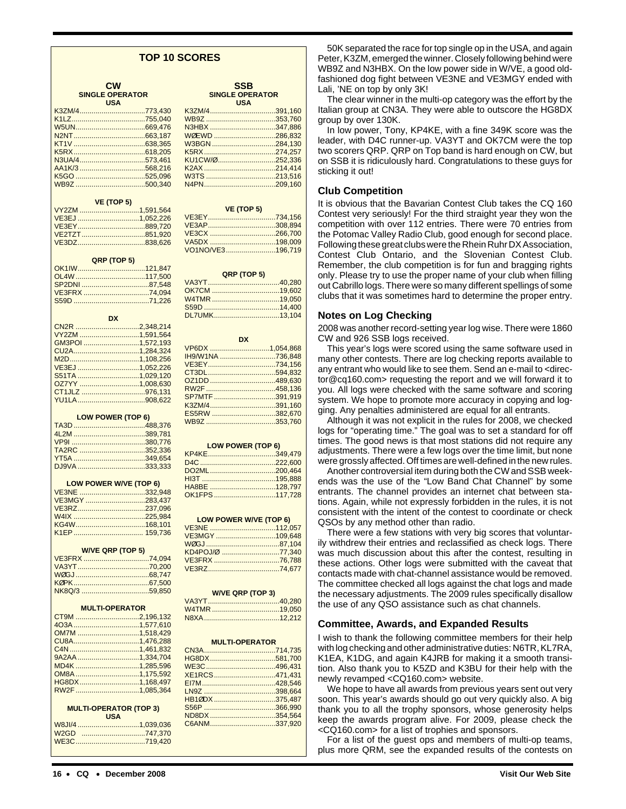#### **TOP 10 SCORES**

| <b>CW</b>              |
|------------------------|
| <b>SINGLE OPERATOR</b> |
| <b>USA</b>             |

| <b>VE (TOP 5)</b> |  |  |
|-------------------|--|--|
|                   |  |  |
| VE3EJ 1,052,226   |  |  |
|                   |  |  |
| VE2TZT851,920     |  |  |
| VE3DZ838,626      |  |  |

| QRP (TOP 5)      |  |  |
|------------------|--|--|
|                  |  |  |
|                  |  |  |
|                  |  |  |
| VE3FRX 74,094    |  |  |
|                  |  |  |
|                  |  |  |
| <b>DX</b>        |  |  |
| CN2R 2,348,214   |  |  |
| VY2ZM 1,591,564  |  |  |
| GM3POI 1,572,193 |  |  |
|                  |  |  |
|                  |  |  |
| VE3EJ 1,052,226  |  |  |
| S51TA 1,029,120  |  |  |
| OZ7YY 1,008,630  |  |  |
| CT1JLZ 976,131   |  |  |
|                  |  |  |

| <b>LOW POWER (TOP 6)</b> |  |  |
|--------------------------|--|--|
|                          |  |  |
|                          |  |  |
|                          |  |  |
| TA2RC 352.336            |  |  |
|                          |  |  |
| DJ9VA333,333             |  |  |

| <b>LOW POWER W/VE (TOP 6)</b> |  |  |
|-------------------------------|--|--|
| VE3NE 332.948                 |  |  |
| VE3MGY 283.437                |  |  |
|                               |  |  |
|                               |  |  |
|                               |  |  |
|                               |  |  |

| <b>W/VE QRP (TOP 5)</b> |  |  |
|-------------------------|--|--|
| VE3FRX 74,094           |  |  |
|                         |  |  |
|                         |  |  |
|                         |  |  |
|                         |  |  |

| <b>MULTI-OPERATOR</b>         |  |  |
|-------------------------------|--|--|
| CT9M 2,196,132                |  |  |
|                               |  |  |
| OM7M 1,518,429                |  |  |
|                               |  |  |
|                               |  |  |
|                               |  |  |
| MD4K 1,285,596                |  |  |
| OM8A 1,175,592                |  |  |
| HG8DX1.168.497                |  |  |
| RW2F 1,085,364                |  |  |
|                               |  |  |
| <b>MULTI-OPERATOR (TOP 3)</b> |  |  |
| <b>USA</b>                    |  |  |
| W8JI/4 1,039,036              |  |  |
| W <sub>2</sub> GD<br>747,370  |  |  |

| <b>SINGLE OPERATOR</b><br><b>USA</b> |  |  |
|--------------------------------------|--|--|
| K3ZM/4391,160                        |  |  |
| WB9Z 353,760                         |  |  |
| N3HBX 347,886                        |  |  |
| WØEWD 286,832                        |  |  |
| W3BGN 284,130                        |  |  |
|                                      |  |  |
| KU1CW/0 252,336                      |  |  |

K2AX ....................................214,414 W3TS ...................................213,516 N4PN....................................209,160

**SSB**

| <b>VE (TOP 5)</b> |  |  |
|-------------------|--|--|
| VE3EY734,156      |  |  |
| VE3AP308.894      |  |  |
| VE3CX 266.700     |  |  |
| VA5DX 198.009     |  |  |
| VO1NO/VE3196.719  |  |  |

| QRP (TOP 5)                  |
|------------------------------|
|                              |
|                              |
| W4TMR 19,050                 |
|                              |
| DL7UMK13,104                 |
|                              |
|                              |
| <b>DX</b>                    |
| VP6DX 1,054,868              |
| IH9/W1NA 736,848             |
| VE3EY734,156<br>CT3DL594,832 |
| OZ1DD 489,630                |
| RW2F 458,136                 |
| SP7MTF 391,919               |
| K3ZM/4391,160                |
| ES5RW 382,670                |
| WB9Z 353,760                 |
|                              |
|                              |
| <b>LOW POWER (TOP 6)</b>     |
| $KP4KF$ 349 479              |

| HA8BE 128,797 |  |
|---------------|--|
| OK1FPS117.728 |  |
|               |  |

| LOW POWER W/VE (TOP 6)  |  |  |
|-------------------------|--|--|
| VE3NE 112,057           |  |  |
| VE3MGY 109,648          |  |  |
|                         |  |  |
| KD4POJ/Ø 77,340         |  |  |
| VE3FRX 76,788           |  |  |
|                         |  |  |
|                         |  |  |
|                         |  |  |
| <b>W/VE QRP (TOP 3)</b> |  |  |
|                         |  |  |
|                         |  |  |
|                         |  |  |
|                         |  |  |
|                         |  |  |
| <b>MULTI-OPERATOR</b>   |  |  |
|                         |  |  |
| HG8DX581,700            |  |  |
| WE3C496,431             |  |  |
| XE1RCS471,431           |  |  |
|                         |  |  |
|                         |  |  |
| HB10DX 375,487          |  |  |
| S56P 366,990            |  |  |
| ND8DX 354,564           |  |  |
| C6ANM337,920            |  |  |
|                         |  |  |

50K separated the race for top single op in the USA, and again Peter, K3ZM, emerged the winner. Closely following behind were WB9Z and N3HBX. On the low power side in W/VE, a good oldfashioned dog fight between VE3NE and VE3MGY ended with Lali, 'NE on top by only 3K!

The clear winner in the multi-op category was the effort by the Italian group at CN3A. They were able to outscore the HG8DX group by over 130K.

In low power, Tony, KP4KE, with a fine 349K score was the leader, with D4C runner-up. VA3YT and OK7CM were the top two scorers QRP. QRP on Top band is hard enough on CW, but on SSB it is ridiculously hard. Congratulations to these guys for sticking it out!

### **Club Competition**

It is obvious that the Bavarian Contest Club takes the CQ 160 Contest very seriously! For the third straight year they won the competition with over 112 entries. There were 70 entries from the Potomac Valley Radio Club, good enough for second place. Following these great clubs were the Rhein Ruhr DX Association, Contest Club Ontario, and the Slovenian Contest Club. Remember, the club competition is for fun and bragging rights only. Please try to use the proper name of your club when filling out Cabrillo logs. There were so many different spellings of some clubs that it was sometimes hard to determine the proper entry.

#### **Notes on Log Checking**

2008 was another record-setting year log wise. There were 1860 CW and 926 SSB logs received.

This year's logs were scored using the same software used in many other contests. There are log checking reports available to any entrant who would like to see them. Send an e-mail to <director@cq160.com> requesting the report and we will forward it to you. All logs were checked with the same software and scoring system. We hope to promote more accuracy in copying and logging. Any penalties administered are equal for all entrants.

Although it was not explicit in the rules for 2008, we checked logs for "operating time." The goal was to set a standard for off times. The good news is that most stations did not require any adjustments. There were a few logs over the time limit, but none were grossly affected. Off times are well-defined in the new rules.

Another controversial item during both the CW and SSB weekends was the use of the "Low Band Chat Channel" by some entrants. The channel provides an internet chat between stations. Again, while not expressly forbidden in the rules, it is not consistent with the intent of the contest to coordinate or check QSOs by any method other than radio.

There were a few stations with very big scores that voluntarily withdrew their entries and reclassified as check logs. There was much discussion about this after the contest, resulting in these actions. Other logs were submitted with the caveat that contacts made with chat-channel assistance would be removed. The committee checked all logs against the chat logs and made the necessary adjustments. The 2009 rules specifically disallow the use of any QSO assistance such as chat channels.

#### **Committee, Awards, and Expanded Results**

I wish to thank the following committee members for their help with log checking and other administrative duties: N6TR, KL7RA, K1EA, K1DG, and again K4JRB for making it a smooth transition. Also thank you to K5ZD and K3BU for their help with the newly revamped <CQ160.com> website.

We hope to have all awards from previous years sent out very soon. This year's awards should go out very quickly also. A big thank you to all the trophy sponsors, whose generosity helps keep the awards program alive. For 2009, please check the <CQ160.com> for a list of trophies and sponsors.

For a list of the guest ops and members of multi-op teams, plus more QRM, see the expanded results of the contests on

WE3C...................................719,420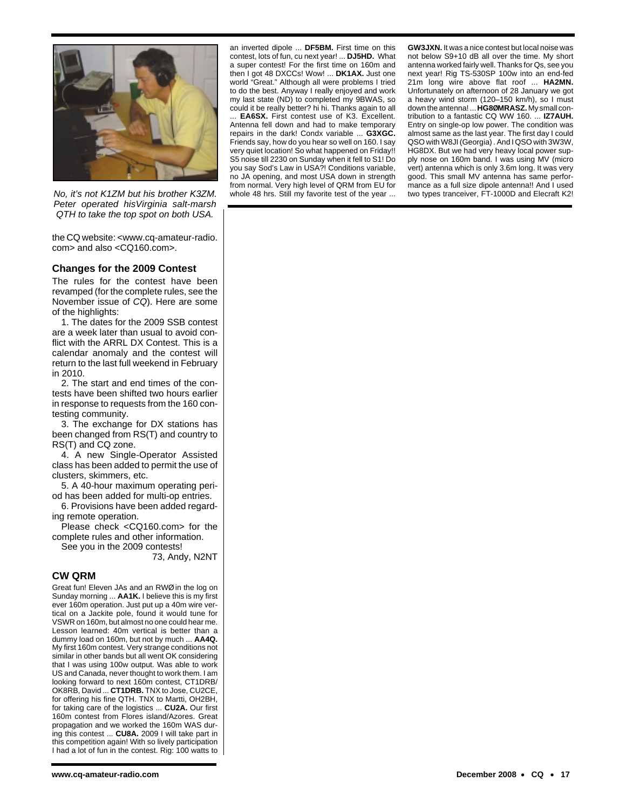

No, it's not K1ZM but his brother K3ZM. Peter operated hisVirginia salt-marsh QTH to take the top spot on both USA.

the CQ website: <www.cq-amateur-radio. com> and also <CQ160.com>.

### **Changes for the 2009 Contest**

The rules for the contest have been revamped (for the complete rules, see the November issue of CQ). Here are some of the highlights:

1. The dates for the 2009 SSB contest are a week later than usual to avoid conflict with the ARRL DX Contest. This is a calendar anomaly and the contest will return to the last full weekend in February in 2010.

2. The start and end times of the contests have been shifted two hours earlier in response to requests from the 160 contesting community.

3. The exchange for DX stations has been changed from RS(T) and country to RS(T) and CQ zone.

4. A new Single-Operator Assisted class has been added to permit the use of clusters, skimmers, etc.

5. A 40-hour maximum operating period has been added for multi-op entries.

6. Provisions have been added regarding remote operation.

Please check <CQ160.com> for the complete rules and other information.

See you in the 2009 contests!

73, Andy, N2NT

#### **CW QRM**

Great fun! Eleven JAs and an RWØ in the log on Sunday morning ... **AA1K.** I believe this is my first ever 160m operation. Just put up a 40m wire vertical on a Jackite pole, found it would tune for VSWR on 160m, but almost no one could hear me. Lesson learned: 40m vertical is better than a dummy load on 160m, but not by much ... **AA4Q.** My first 160m contest. Very strange conditions not similar in other bands but all went OK considering that I was using 100w output. Was able to work US and Canada, never thought to work them. I am looking forward to next 160m contest, CT1DRB/ OK8RB, David ... **CT1DRB.** TNX to Jose, CU2CE, for offering his fine QTH. TNX to Martti, OH2BH, for taking care of the logistics ... **CU2A.** Our first 160m contest from Flores island/Azores. Great propagation and we worked the 160m WAS during this contest ... **CU8A.** 2009 I will take part in this competition again! With so lively participation I had a lot of fun in the contest. Rig: 100 watts to an inverted dipole ... **DF5BM.** First time on this contest, lots of fun, cu next year! ... **DJ5HD.** What a super contest! For the first time on 160m and then I got 48 DXCCs! Wow! ... **DK1AX.** Just one world "Great." Although all were problems I tried to do the best. Anyway I really enjoyed and work my last state (ND) to completed my 9BWAS, so could it be really better? hi hi. Thanks again to all

. **EA6SX.** First contest use of K3. Excellent. Antenna fell down and had to make temporary repairs in the dark! Condx variable ... **G3XGC.** Friends say, how do you hear so well on 160. I say very quiet location! So what happened on Friday!! S5 noise till 2230 on Sunday when it fell to S1! Do you say Sod's Law in USA?! Conditions variable, no JA opening, and most USA down in strength from normal. Very high level of QRM from EU for whole 48 hrs. Still my favorite test of the year ...

**GW3JXN.** It was a nice contest but local noise was not below S9+10 dB all over the time. My short antenna worked fairly well. Thanks for Qs, see you next year! Rig TS-530SP 100w into an end-fed 21m long wire above flat roof ... **HA2MN.** Unfortunately on afternoon of 28 January we got a heavy wind storm (120–150 km/h), so I must down the antenna! ... **HG8ØMRASZ.** My small contribution to a fantastic CQ WW 160. ... **IZ7AUH.** Entry on single-op low power. The condition was almost same as the last year. The first day I could QSO with W8JI (Georgia) . And I QSO with 3W3W, HG8DX. But we had very heavy local power supply nose on 160m band. I was using MV (micro vert) antenna which is only 3.6m long. It was very good. This small MV antenna has same performance as a full size dipole antenna!! And I used two types tranceiver, FT-1000D and Elecraft K2!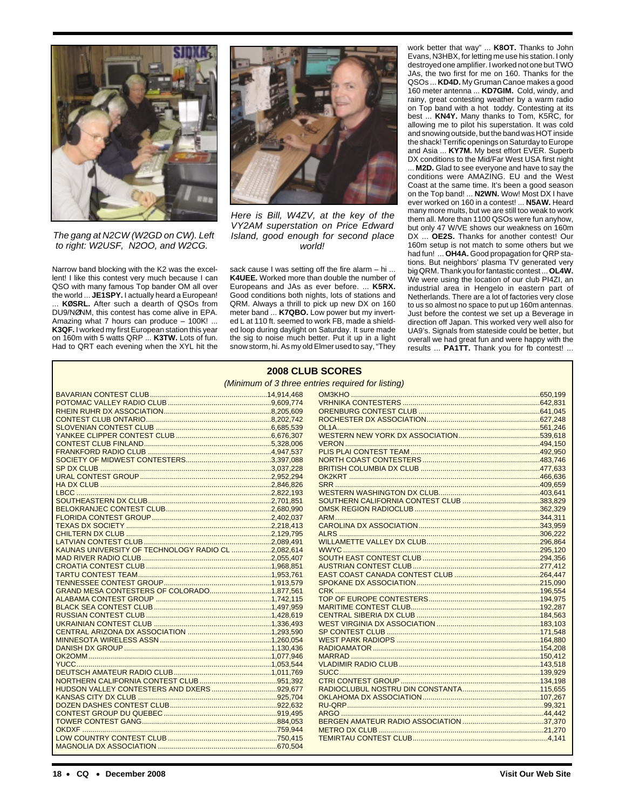

The gang at N2CW (W2GD on CW). Left to right: W2USF, N2OO, and W2CG.

Narrow band blocking with the K2 was the excellent! I like this contest very much because I can QSO with many famous Top bander OM all over the world ... **JE1SPY.** I actually heard a European! KØSRL. After such a dearth of QSOs from DU9/NØNM, this contest has come alive in EPA. Amazing what 7 hours can produce – 100K! ... **K3QF.** I worked my first European station this year on 160m with 5 watts QRP ... **K3TW.** Lots of fun. Had to QRT each evening when the XYL hit the



Here is Bill, W4ZV, at the key of the VY2AM superstation on Price Edward Island, good enough for second place world!

sack cause I was setting off the fire alarm – hi ... **K4UEE.** Worked more than double the number of Europeans and JAs as ever before. ... **K5RX.** Good conditions both nights, lots of stations and QRM. Always a thrill to pick up new DX on 160 meter band ... **K7QBO.** Low power but my inverted L at 110 ft. seemed to work FB, made a shielded loop during daylight on Saturday. It sure made the sig to noise much better. Put it up in a light snow storm, hi. As my old Elmer used to say, "They

work better that way" ... **K8OT.** Thanks to John Evans, N3HBX, for letting me use his station. I only destroyed one amplifier. I worked not one but TWO JAs, the two first for me on 160. Thanks for the QSOs ... **KD4D.** My Gruman Canoe makes a good 160 meter antenna ... **KD7GIM.** Cold, windy, and rainy, great contesting weather by a warm radio on Top band with a hot toddy. Contesting at its best ... **KN4Y.** Many thanks to Tom, K5RC, for allowing me to pilot his superstation. It was cold and snowing outside, but the band was HOT inside the shack! Terrific openings on Saturday to Europe and Asia ... **KY7M.** My best effort EVER. Superb DX conditions to the Mid/Far West USA first night

... **M2D.** Glad to see everyone and have to say the conditions were AMAZING. EU and the West Coast at the same time. It's been a good season on the Top band! ... **N2WN.** Wow! Most DX I have ever worked on 160 in a contest! ... **N5AW.** Heard many more mults, but we are still too weak to work them all. More than 1100 QSOs were fun anyhow, but only 47 W/VE shows our weakness on 160m DX ... **OE2S.** Thanks for another contest! Our 160m setup is not match to some others but we had fun! ... **OH4A.** Good propagation for QRP stations. But neighbors' plasma TV generated very big QRM. Thank you for fantastic contest ... **OL4W.** We were using the location of our club PI4ZI, an industrial area in Hengelo in eastern part of Netherlands. There are a lot of factories very close to us so almost no space to put up 160m antennas. Just before the contest we set up a Beverage in direction off Japan. This worked very well also for UA9's. Signals from stateside could be better, but overall we had great fun and were happy with the results ... **PA1TT.** Thank you for fb contest! ...

| <b>2008 CLUB SCORES</b>                            |  |  |  |
|----------------------------------------------------|--|--|--|
| (Minimum of 3 three entries required for listing)  |  |  |  |
|                                                    |  |  |  |
|                                                    |  |  |  |
|                                                    |  |  |  |
|                                                    |  |  |  |
|                                                    |  |  |  |
|                                                    |  |  |  |
|                                                    |  |  |  |
|                                                    |  |  |  |
|                                                    |  |  |  |
|                                                    |  |  |  |
|                                                    |  |  |  |
|                                                    |  |  |  |
|                                                    |  |  |  |
|                                                    |  |  |  |
|                                                    |  |  |  |
|                                                    |  |  |  |
|                                                    |  |  |  |
|                                                    |  |  |  |
|                                                    |  |  |  |
| KAUNAS UNIVERSITY OF TECHNOLOGY RADIO CL 2.082.614 |  |  |  |
|                                                    |  |  |  |
|                                                    |  |  |  |
|                                                    |  |  |  |
|                                                    |  |  |  |
| GRAND MESA CONTESTERS OF COLORADO1,877,561         |  |  |  |
|                                                    |  |  |  |
|                                                    |  |  |  |
|                                                    |  |  |  |
|                                                    |  |  |  |
|                                                    |  |  |  |
|                                                    |  |  |  |
|                                                    |  |  |  |
|                                                    |  |  |  |
|                                                    |  |  |  |
|                                                    |  |  |  |
|                                                    |  |  |  |
|                                                    |  |  |  |
|                                                    |  |  |  |
|                                                    |  |  |  |
|                                                    |  |  |  |
|                                                    |  |  |  |
|                                                    |  |  |  |
|                                                    |  |  |  |
|                                                    |  |  |  |